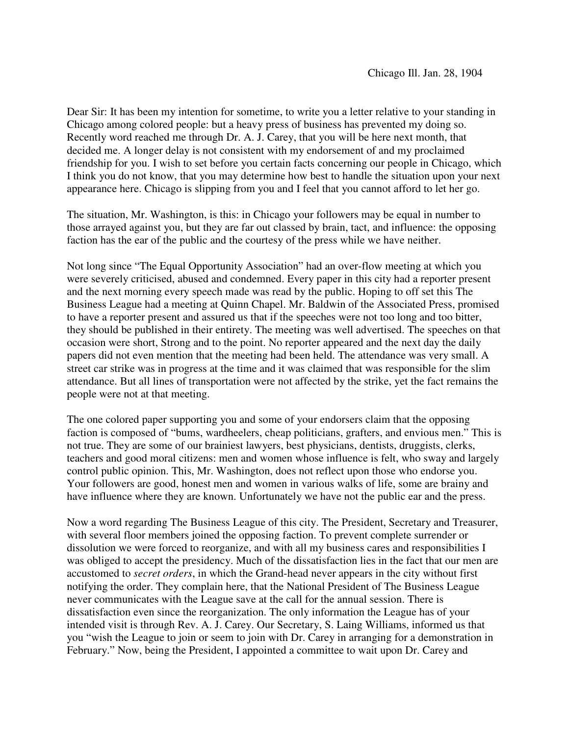Dear Sir: It has been my intention for sometime, to write you a letter relative to your standing in Chicago among colored people: but a heavy press of business has prevented my doing so. Recently word reached me through Dr. A. J. Carey, that you will be here next month, that decided me. A longer delay is not consistent with my endorsement of and my proclaimed friendship for you. I wish to set before you certain facts concerning our people in Chicago, which I think you do not know, that you may determine how best to handle the situation upon your next appearance here. Chicago is slipping from you and I feel that you cannot afford to let her go.

The situation, Mr. Washington, is this: in Chicago your followers may be equal in number to those arrayed against you, but they are far out classed by brain, tact, and influence: the opposing faction has the ear of the public and the courtesy of the press while we have neither.

Not long since "The Equal Opportunity Association" had an over-flow meeting at which you were severely criticised, abused and condemned. Every paper in this city had a reporter present and the next morning every speech made was read by the public. Hoping to off set this The Business League had a meeting at Quinn Chapel. Mr. Baldwin of the Associated Press, promised to have a reporter present and assured us that if the speeches were not too long and too bitter, they should be published in their entirety. The meeting was well advertised. The speeches on that occasion were short, Strong and to the point. No reporter appeared and the next day the daily papers did not even mention that the meeting had been held. The attendance was very small. A street car strike was in progress at the time and it was claimed that was responsible for the slim attendance. But all lines of transportation were not affected by the strike, yet the fact remains the people were not at that meeting.

The one colored paper supporting you and some of your endorsers claim that the opposing faction is composed of "bums, wardheelers, cheap politicians, grafters, and envious men." This is not true. They are some of our brainiest lawyers, best physicians, dentists, druggists, clerks, teachers and good moral citizens: men and women whose influence is felt, who sway and largely control public opinion. This, Mr. Washington, does not reflect upon those who endorse you. Your followers are good, honest men and women in various walks of life, some are brainy and have influence where they are known. Unfortunately we have not the public ear and the press.

Now a word regarding The Business League of this city. The President, Secretary and Treasurer, with several floor members joined the opposing faction. To prevent complete surrender or dissolution we were forced to reorganize, and with all my business cares and responsibilities I was obliged to accept the presidency. Much of the dissatisfaction lies in the fact that our men are accustomed to *secret orders*, in which the Grand-head never appears in the city without first notifying the order. They complain here, that the National President of The Business League never communicates with the League save at the call for the annual session. There is dissatisfaction even since the reorganization. The only information the League has of your intended visit is through Rev. A. J. Carey. Our Secretary, S. Laing Williams, informed us that you "wish the League to join or seem to join with Dr. Carey in arranging for a demonstration in February." Now, being the President, I appointed a committee to wait upon Dr. Carey and